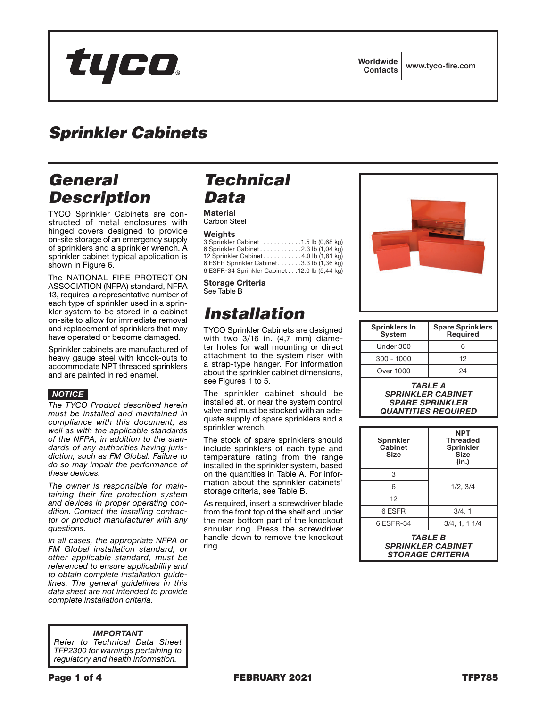# tyco.

Worldwide Contacts www.tyco-fire.com

### *Sprinkler Cabinets*

### *General Description*

TYCO Sprinkler Cabinets are constructed of metal enclosures with hinged covers designed to provide on-site storage of an emergency supply of sprinklers and a sprinkler wrench. A sprinkler cabinet typical application is shown in Figure 6.

The NATIONAL FIRE PROTECTION ASSOCIATION (NFPA) standard, NFPA 13, requires a representative number of each type of sprinkler used in a sprinkler system to be stored in a cabinet on-site to allow for immediate removal and replacement of sprinklers that may have operated or become damaged.

Sprinkler cabinets are manufactured of heavy gauge steel with knock-outs to accommodate NPT threaded sprinklers and are painted in red enamel.

### *NOTICE*

*The TYCO Product described herein must be installed and maintained in compliance with this document, as well as with the applicable standards of the NFPA, in addition to the standards of any authorities having jurisdiction, such as FM Global. Failure to do so may impair the performance of these devices.*

*The owner is responsible for maintaining their fire protection system and devices in proper operating condition. Contact the installing contractor or product manufacturer with any questions.*

*In all cases, the appropriate NFPA or FM Global installation standard, or other applicable standard, must be referenced to ensure applicability and to obtain complete installation guidelines. The general guidelines in this data sheet are not intended to provide complete installation criteria.*

*IMPORTANT Refer to Technical Data Sheet TFP2300 for warnings pertaining to regulatory and health information.*

### *Technical Data*

#### **Material** Carbon Steel

#### **Weights**

| 3 Sprinkler Cabinet 1.5 lb (0.68 kg)          |  |  |
|-----------------------------------------------|--|--|
|                                               |  |  |
| 12 Sprinkler Cabinet 4.0 lb (1,81 kg)         |  |  |
| 6 ESFR Sprinkler Cabinet3.3 lb (1,36 kg)      |  |  |
| 6 ESFR-34 Sprinkler Cabinet 12.0 lb (5,44 kg) |  |  |

Storage Criteria See Table B

## *Installation*

TYCO Sprinkler Cabinets are designed with two 3/16 in. (4,7 mm) diameter holes for wall mounting or direct attachment to the system riser with a strap-type hanger. For information about the sprinkler cabinet dimensions, see Figures 1 to 5.

The sprinkler cabinet should be installed at, or near the system control valve and must be stocked with an adequate supply of spare sprinklers and a sprinkler wrench.

The stock of spare sprinklers should include sprinklers of each type and temperature rating from the range installed in the sprinkler system, based on the quantities in Table A. For information about the sprinkler cabinets' storage criteria, see Table B.

As required, insert a screwdriver blade from the front top of the shelf and under the near bottom part of the knockout annular ring. Press the screwdriver handle down to remove the knockout ring.



| <b>Sprinklers In</b><br><b>System</b> | <b>Spare Sprinklers</b><br><b>Required</b> |
|---------------------------------------|--------------------------------------------|
| Under 300                             | ิค                                         |
| $300 - 1000$                          | 12                                         |
| Over 1000                             | 24                                         |
|                                       |                                            |

*TABLE A SPRINKLER CABINET SPARE SPRINKLER QUANTITIES REQUIRED*

| <b>Sprinkler</b><br>Cabinet<br><b>Size</b>                                          | <b>NPT</b><br><b>Threaded</b><br><b>Sprinkler</b><br>Size<br>(in.) |  |  |
|-------------------------------------------------------------------------------------|--------------------------------------------------------------------|--|--|
| 3                                                                                   |                                                                    |  |  |
| 6                                                                                   | 1/2.3/4                                                            |  |  |
| 12                                                                                  |                                                                    |  |  |
| 6 ESFR                                                                              | 3/4, 1                                                             |  |  |
| 6 ESFR-34                                                                           | 3/4, 1, 11/4                                                       |  |  |
| <i><b>TABLE B</b></i><br><b>SPRINKLER CABINET</b><br><i><b>STORAGE CRITERIA</b></i> |                                                                    |  |  |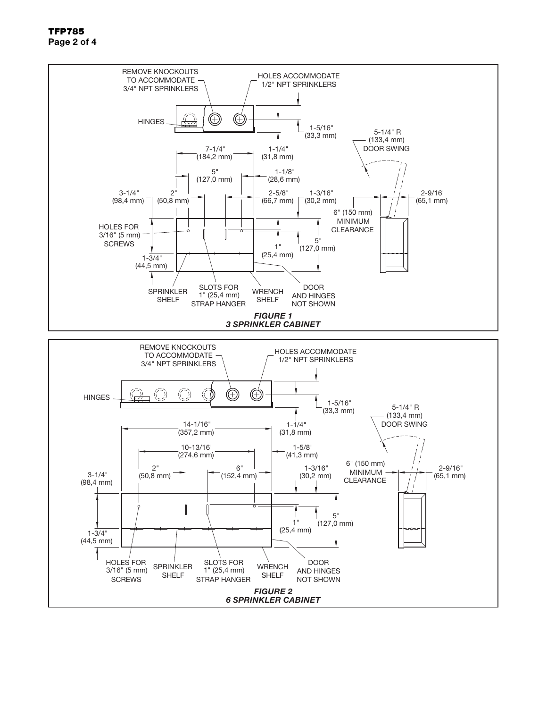

TFP785 Page 2 of 4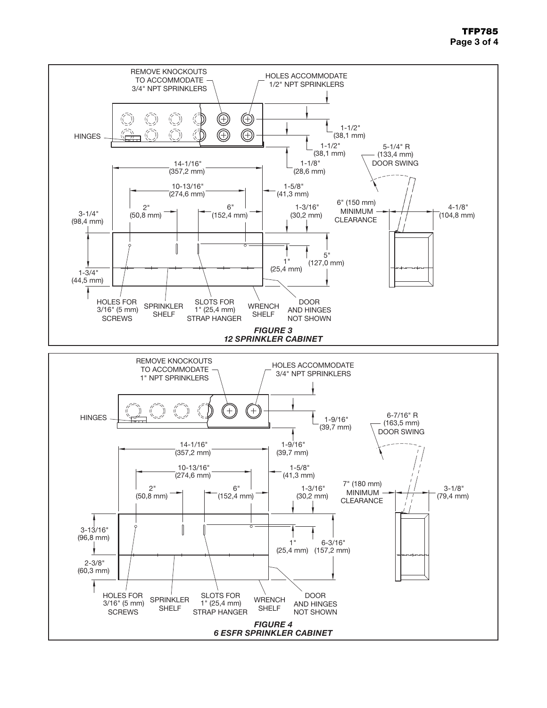